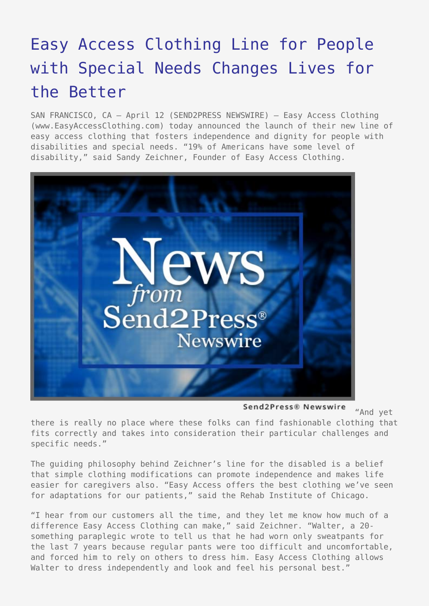## [Easy Access Clothing Line for People](https://www.send2press.com/wire/2006-04-0412-003/) [with Special Needs Changes Lives for](https://www.send2press.com/wire/2006-04-0412-003/) [the Better](https://www.send2press.com/wire/2006-04-0412-003/)

SAN FRANCISCO, CA – April 12 (SEND2PRESS NEWSWIRE) — Easy Access Clothing (www.EasyAccessClothing.com) today announced the launch of their new line of easy access clothing that fosters independence and dignity for people with disabilities and special needs. "19% of Americans have some level of disability," said Sandy Zeichner, Founder of Easy Access Clothing.



Send2Press® Newswire "And yet

there is really no place where these folks can find fashionable clothing that fits correctly and takes into consideration their particular challenges and specific needs."

The guiding philosophy behind Zeichner's line for the disabled is a belief that simple clothing modifications can promote independence and makes life easier for caregivers also. "Easy Access offers the best clothing we've seen for adaptations for our patients," said the Rehab Institute of Chicago.

"I hear from our customers all the time, and they let me know how much of a difference Easy Access Clothing can make," said Zeichner. "Walter, a 20 something paraplegic wrote to tell us that he had worn only sweatpants for the last 7 years because regular pants were too difficult and uncomfortable, and forced him to rely on others to dress him. Easy Access Clothing allows Walter to dress independently and look and feel his personal best."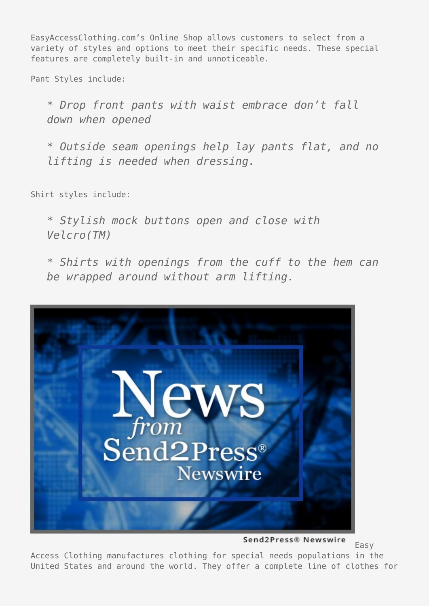EasyAccessClothing.com's Online Shop allows customers to select from a variety of styles and options to meet their specific needs. These special features are completely built-in and unnoticeable.

Pant Styles include:

*\* Drop front pants with waist embrace don't fall down when opened*

*\* Outside seam openings help lay pants flat, and no lifting is needed when dressing.*

Shirt styles include:

*\* Stylish mock buttons open and close with Velcro(TM)*

*\* Shirts with openings from the cuff to the hem can be wrapped around without arm lifting.*



Send2Press® Newswire

Easy

Access Clothing manufactures clothing for special needs populations in the United States and around the world. They offer a complete line of clothes for